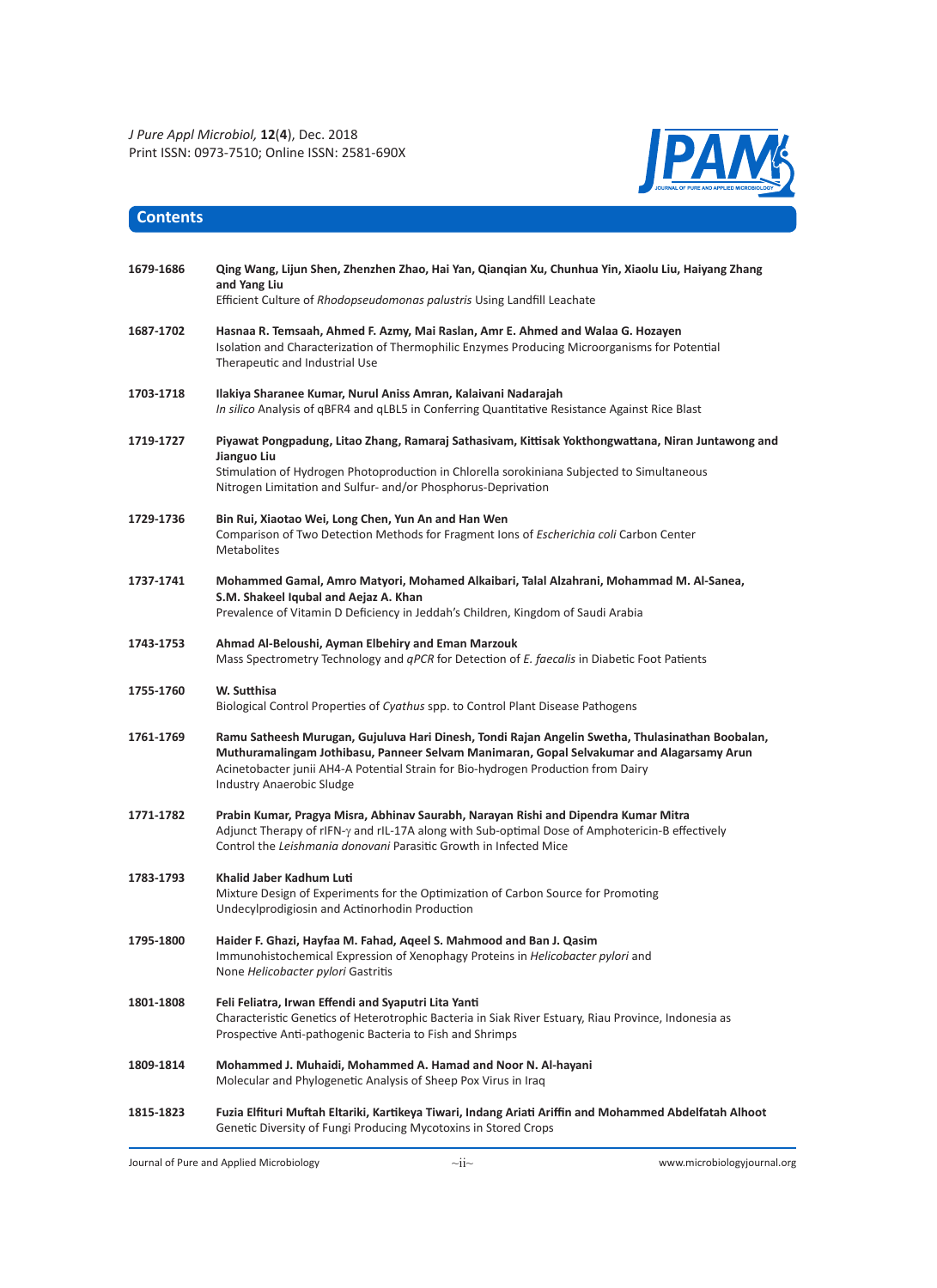

## **Contents**

| 1679-1686 | Qing Wang, Lijun Shen, Zhenzhen Zhao, Hai Yan, Qianqian Xu, Chunhua Yin, Xiaolu Liu, Haiyang Zhang<br>and Yang Liu<br>Efficient Culture of Rhodopseudomonas palustris Using Landfill Leachate                                                                                                                   |
|-----------|-----------------------------------------------------------------------------------------------------------------------------------------------------------------------------------------------------------------------------------------------------------------------------------------------------------------|
| 1687-1702 | Hasnaa R. Temsaah, Ahmed F. Azmy, Mai Raslan, Amr E. Ahmed and Walaa G. Hozayen<br>Isolation and Characterization of Thermophilic Enzymes Producing Microorganisms for Potential<br>Therapeutic and Industrial Use                                                                                              |
| 1703-1718 | Ilakiya Sharanee Kumar, Nurul Aniss Amran, Kalaivani Nadarajah<br>In silico Analysis of qBFR4 and qLBL5 in Conferring Quantitative Resistance Against Rice Blast                                                                                                                                                |
| 1719-1727 | Piyawat Pongpadung, Litao Zhang, Ramaraj Sathasivam, Kittisak Yokthongwattana, Niran Juntawong and<br>Jianguo Liu<br>Stimulation of Hydrogen Photoproduction in Chlorella sorokiniana Subjected to Simultaneous<br>Nitrogen Limitation and Sulfur- and/or Phosphorus-Deprivation                                |
| 1729-1736 | Bin Rui, Xiaotao Wei, Long Chen, Yun An and Han Wen<br>Comparison of Two Detection Methods for Fragment Ions of <i>Escherichia coli</i> Carbon Center<br><b>Metabolites</b>                                                                                                                                     |
| 1737-1741 | Mohammed Gamal, Amro Matyori, Mohamed Alkaibari, Talal Alzahrani, Mohammad M. Al-Sanea,<br>S.M. Shakeel Iqubal and Aejaz A. Khan<br>Prevalence of Vitamin D Deficiency in Jeddah's Children, Kingdom of Saudi Arabia                                                                                            |
| 1743-1753 | Ahmad Al-Beloushi, Ayman Elbehiry and Eman Marzouk<br>Mass Spectrometry Technology and <i>qPCR</i> for Detection of <i>E. faecalis</i> in Diabetic Foot Patients                                                                                                                                                |
| 1755-1760 | W. Sutthisa<br>Biological Control Properties of Cyathus spp. to Control Plant Disease Pathogens                                                                                                                                                                                                                 |
| 1761-1769 | Ramu Satheesh Murugan, Gujuluva Hari Dinesh, Tondi Rajan Angelin Swetha, Thulasinathan Boobalan,<br>Muthuramalingam Jothibasu, Panneer Selvam Manimaran, Gopal Selvakumar and Alagarsamy Arun<br>Acinetobacter junii AH4-A Potential Strain for Bio-hydrogen Production from Dairy<br>Industry Anaerobic Sludge |
| 1771 1782 | Prabin Kumar, Pragya Misra, Abhinav Saurabh, Narayan Rishi and Dipendra Kumar Mitra<br>Adjunct Therapy of rIFN- $\gamma$ and rIL-17A along with Sub-optimal Dose of Amphotericin-B effectively<br>Control the Leishmania donovani Parasitic Growth in Infected Mice                                             |
| 1783-1793 | Khalid Jaber Kadhum Luti<br>Mixture Design of Experiments for the Optimization of Carbon Source for Promoting<br>Undecylprodigiosin and Actinorhodin Production                                                                                                                                                 |
| 1795-1800 | Haider F. Ghazi, Hayfaa M. Fahad, Aqeel S. Mahmood and Ban J. Qasim<br>Immunohistochemical Expression of Xenophagy Proteins in Helicobacter pylori and<br>None Helicobacter pylori Gastritis                                                                                                                    |
| 1801-1808 | Feli Feliatra, Irwan Effendi and Syaputri Lita Yanti<br>Characteristic Genetics of Heterotrophic Bacteria in Siak River Estuary, Riau Province, Indonesia as<br>Prospective Anti-pathogenic Bacteria to Fish and Shrimps                                                                                        |
| 1809-1814 | Mohammed J. Muhaidi, Mohammed A. Hamad and Noor N. Al-hayani<br>Molecular and Phylogenetic Analysis of Sheep Pox Virus in Iraq                                                                                                                                                                                  |
| 1815-1823 | Fuzia Elfituri Muftah Eltariki, Kartikeya Tiwari, Indang Ariati Ariffin and Mohammed Abdelfatah Alhoot<br>Genetic Diversity of Fungi Producing Mycotoxins in Stored Crops                                                                                                                                       |

Journal of Pure and Applied Microbiology www.microbiologyjournal.org

 $\sim$ ii $\sim$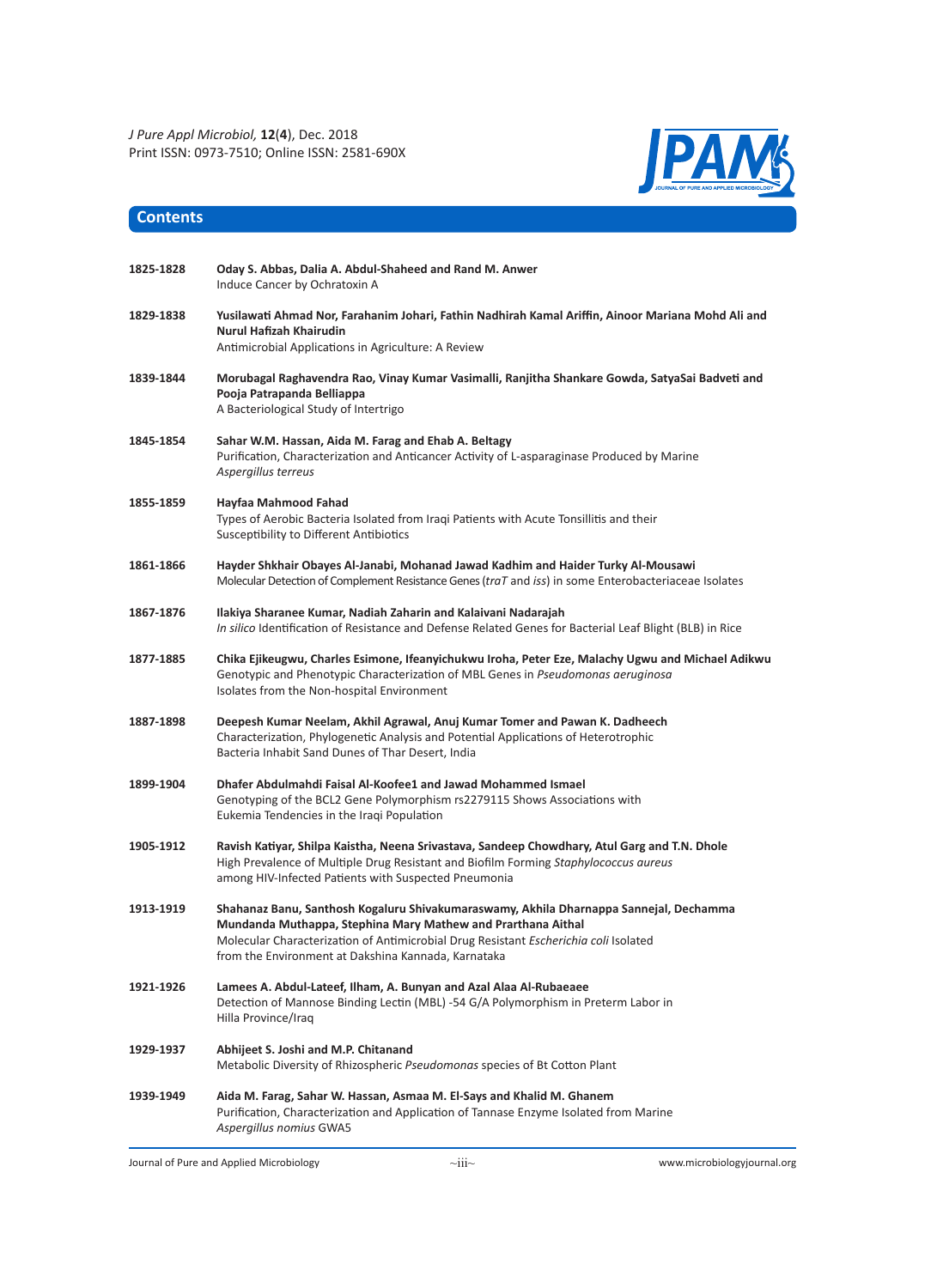

| 1825-1828 | Oday S. Abbas, Dalia A. Abdul-Shaheed and Rand M. Anwer<br>Induce Cancer by Ochratoxin A                                                                                                                                                                                                              |
|-----------|-------------------------------------------------------------------------------------------------------------------------------------------------------------------------------------------------------------------------------------------------------------------------------------------------------|
| 1829-1838 | Yusilawati Ahmad Nor, Farahanim Johari, Fathin Nadhirah Kamal Ariffin, Ainoor Mariana Mohd Ali and<br>Nurul Hafizah Khairudin<br>Antimicrobial Applications in Agriculture: A Review                                                                                                                  |
| 1839-1844 | Morubagal Raghavendra Rao, Vinay Kumar Vasimalli, Ranjitha Shankare Gowda, SatyaSai Badveti and<br>Pooja Patrapanda Belliappa<br>A Bacteriological Study of Intertrigo                                                                                                                                |
| 1845-1854 | Sahar W.M. Hassan, Aida M. Farag and Ehab A. Beltagy<br>Purification, Characterization and Anticancer Activity of L-asparaginase Produced by Marine<br>Aspergillus terreus                                                                                                                            |
| 1855-1859 | Hayfaa Mahmood Fahad<br>Types of Aerobic Bacteria Isolated from Iraqi Patients with Acute Tonsillitis and their<br>Susceptibility to Different Antibiotics                                                                                                                                            |
| 1861-1866 | Hayder Shkhair Obayes Al-Janabi, Mohanad Jawad Kadhim and Haider Turky Al-Mousawi<br>Molecular Detection of Complement Resistance Genes (traT and iss) in some Enterobacteriaceae Isolates                                                                                                            |
| 1867-1876 | Ilakiya Sharanee Kumar, Nadiah Zaharin and Kalaivani Nadarajah<br>In silico Identification of Resistance and Defense Related Genes for Bacterial Leaf Blight (BLB) in Rice                                                                                                                            |
| 1877-1885 | Chika Ejikeugwu, Charles Esimone, Ifeanyichukwu Iroha, Peter Eze, Malachy Ugwu and Michael Adikwu<br>Genotypic and Phenotypic Characterization of MBL Genes in Pseudomonas aeruginosa<br>Isolates from the Non-hospital Environment                                                                   |
| 1887-1898 | Deepesh Kumar Neelam, Akhil Agrawal, Anuj Kumar Tomer and Pawan K. Dadheech<br>Characterization, Phylogenetic Analysis and Potential Applications of Heterotrophic<br>Bacteria Inhabit Sand Dunes of Thar Desert, India                                                                               |
| 1899-1904 | Dhafer Abdulmahdi Faisal Al-Koofee1 and Jawad Mohammed Ismael<br>Genotyping of the BCL2 Gene Polymorphism rs2279115 Shows Associations with<br>Eukemia Tendencies in the Iraqi Population                                                                                                             |
| 1905-1912 | Ravish Katiyar, Shilpa Kaistha, Neena Srivastava, Sandeep Chowdhary, Atul Garg and T.N. Dhole<br>High Prevalence of Multiple Drug Resistant and Biofilm Forming Staphylococcus aureus<br>among HIV-Infected Patients with Suspected Pneumonia                                                         |
| 1913-1919 | Shahanaz Banu, Santhosh Kogaluru Shivakumaraswamy, Akhila Dharnappa Sannejal, Dechamma<br>Mundanda Muthappa, Stephina Mary Mathew and Prarthana Aithal<br>Molecular Characterization of Antimicrobial Drug Resistant Escherichia coli Isolated<br>from the Environment at Dakshina Kannada, Karnataka |
| 1921-1926 | Lamees A. Abdul-Lateef, Ilham, A. Bunyan and Azal Alaa Al-Rubaeaee<br>Detection of Mannose Binding Lectin (MBL) -54 G/A Polymorphism in Preterm Labor in<br>Hilla Province/Iraq                                                                                                                       |
| 1929-1937 | Abhijeet S. Joshi and M.P. Chitanand<br>Metabolic Diversity of Rhizospheric Pseudomonas species of Bt Cotton Plant                                                                                                                                                                                    |
| 1939-1949 | Aida M. Farag, Sahar W. Hassan, Asmaa M. El-Says and Khalid M. Ghanem<br>Purification, Characterization and Application of Tannase Enzyme Isolated from Marine<br>Aspergillus nomius GWA5                                                                                                             |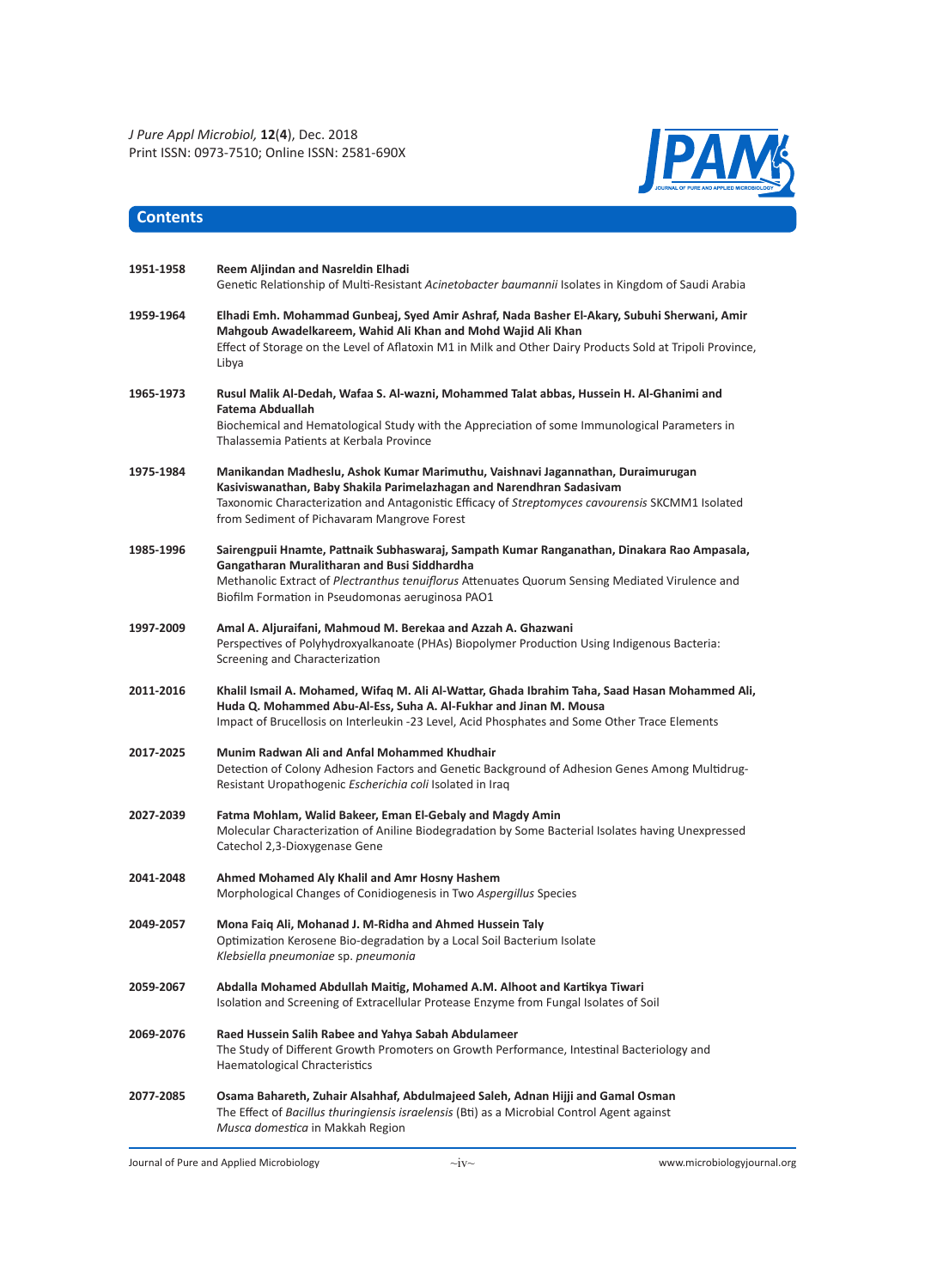

| 1951-1958 | Reem Aljindan and Nasreldin Elhadi<br>Genetic Relationship of Multi-Resistant Acinetobacter baumannii Isolates in Kingdom of Saudi Arabia                                                                                                                                                                   |
|-----------|-------------------------------------------------------------------------------------------------------------------------------------------------------------------------------------------------------------------------------------------------------------------------------------------------------------|
| 1959-1964 | Elhadi Emh. Mohammad Gunbeaj, Syed Amir Ashraf, Nada Basher El-Akary, Subuhi Sherwani, Amir<br>Mahgoub Awadelkareem, Wahid Ali Khan and Mohd Wajid Ali Khan<br>Effect of Storage on the Level of Aflatoxin M1 in Milk and Other Dairy Products Sold at Tripoli Province,<br>Libya                           |
| 1965-1973 | Rusul Malik Al-Dedah, Wafaa S. Al-wazni, Mohammed Talat abbas, Hussein H. Al-Ghanimi and<br>Fatema Abduallah<br>Biochemical and Hematological Study with the Appreciation of some Immunological Parameters in<br>Thalassemia Patients at Kerbala Province                                                   |
| 1975-1984 | Manikandan Madheslu, Ashok Kumar Marimuthu, Vaishnavi Jagannathan, Duraimurugan<br>Kasiviswanathan, Baby Shakila Parimelazhagan and Narendhran Sadasivam<br>Taxonomic Characterization and Antagonistic Efficacy of Streptomyces cavourensis SKCMM1 Isolated<br>from Sediment of Pichavaram Mangrove Forest |
| 1985-1996 | Sairengpuii Hnamte, Pattnaik Subhaswaraj, Sampath Kumar Ranganathan, Dinakara Rao Ampasala,<br>Gangatharan Muralitharan and Busi Siddhardha<br>Methanolic Extract of Plectranthus tenuiflorus Attenuates Quorum Sensing Mediated Virulence and<br>Biofilm Formation in Pseudomonas aeruginosa PAO1          |
| 1997-2009 | Amal A. Aljuraifani, Mahmoud M. Berekaa and Azzah A. Ghazwani<br>Perspectives of Polyhydroxyalkanoate (PHAs) Biopolymer Production Using Indigenous Bacteria:<br>Screening and Characterization                                                                                                             |
| 2011-2016 | Khalil Ismail A. Mohamed, Wifaq M. Ali Al-Wattar, Ghada Ibrahim Taha, Saad Hasan Mohammed Ali,<br>Huda Q. Mohammed Abu-Al-Ess, Suha A. Al-Fukhar and Jinan M. Mousa<br>Impact of Brucellosis on Interleukin -23 Level, Acid Phosphates and Some Other Trace Elements                                        |
| 2017-2025 | Munim Radwan Ali and Anfal Mohammed Khudhair<br>Detection of Colony Adhesion Factors and Genetic Background of Adhesion Genes Among Multidrug-<br>Resistant Uropathogenic Escherichia coli Isolated in Iraq                                                                                                 |
| 2027-2039 | Fatma Mohlam, Walid Bakeer, Eman El-Gebaly and Magdy Amin<br>Molecular Characterization of Aniline Biodegradation by Some Bacterial Isolates having Unexpressed<br>Catechol 2,3-Dioxygenase Gene                                                                                                            |
| 2041-2048 | Ahmed Mohamed Aly Khalil and Amr Hosny Hashem<br>Morphological Changes of Conidiogenesis in Two Aspergillus Species                                                                                                                                                                                         |
| 2049-2057 | Mona Faig Ali, Mohanad J. M-Ridha and Ahmed Hussein Taly<br>Optimization Kerosene Bio-degradation by a Local Soil Bacterium Isolate<br>Klebsiella pneumoniae sp. pneumonia                                                                                                                                  |
| 2059-2067 | Abdalla Mohamed Abdullah Maitig, Mohamed A.M. Alhoot and Kartikya Tiwari<br>Isolation and Screening of Extracellular Protease Enzyme from Fungal Isolates of Soil                                                                                                                                           |
| 2069-2076 | Raed Hussein Salih Rabee and Yahya Sabah Abdulameer<br>The Study of Different Growth Promoters on Growth Performance, Intestinal Bacteriology and<br>Haematological Chracteristics                                                                                                                          |
| 2077-2085 | Osama Bahareth, Zuhair Alsahhaf, Abdulmajeed Saleh, Adnan Hijji and Gamal Osman<br>The Effect of Bacillus thuringiensis israelensis (Bti) as a Microbial Control Agent against<br>Musca domestica in Makkah Region                                                                                          |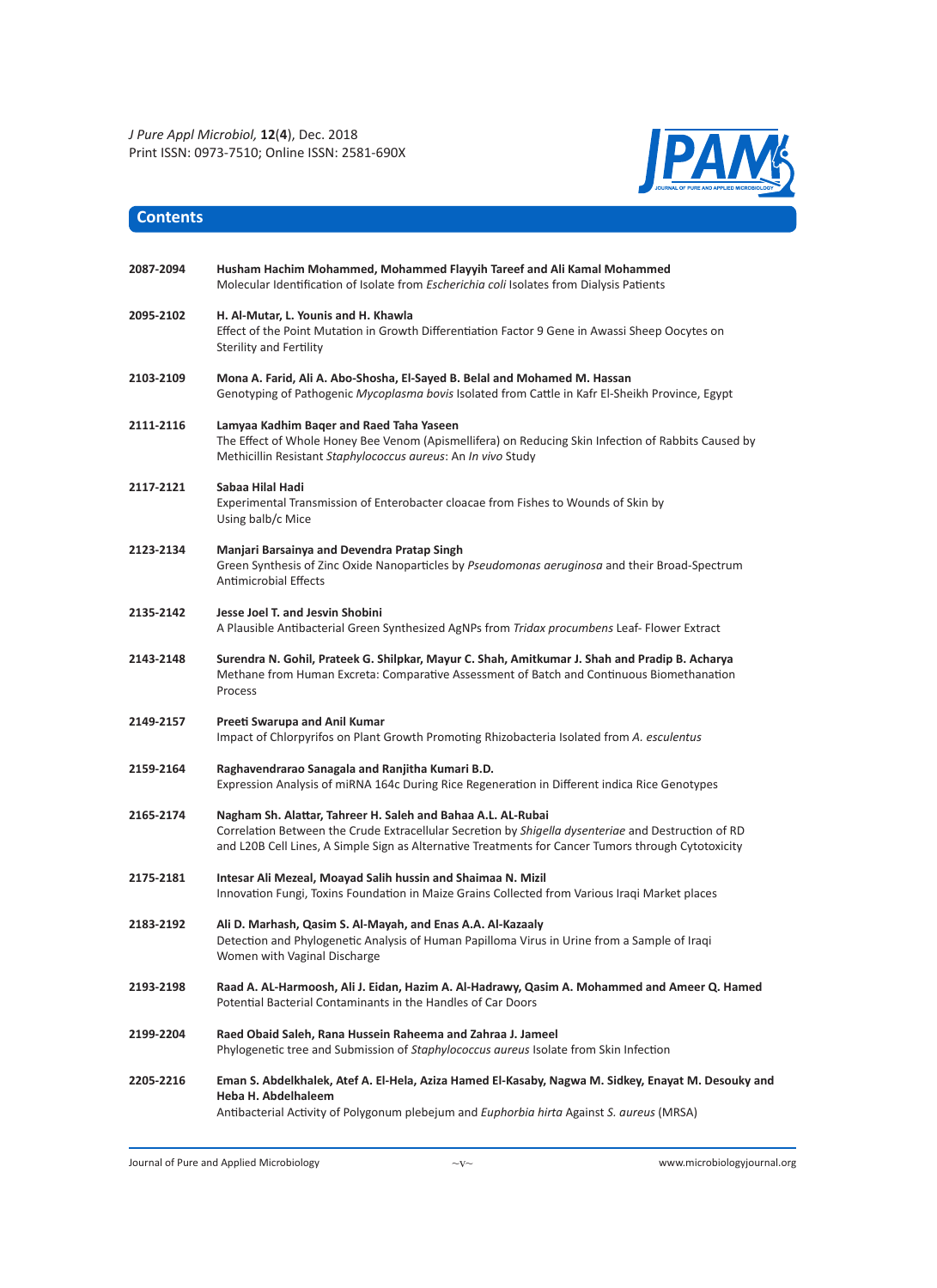

| 2087-2094 | Husham Hachim Mohammed, Mohammed Flayyih Tareef and Ali Kamal Mohammed<br>Molecular Identification of Isolate from Escherichia coli Isolates from Dialysis Patients                                                                                                        |
|-----------|----------------------------------------------------------------------------------------------------------------------------------------------------------------------------------------------------------------------------------------------------------------------------|
| 2095-2102 | H. Al-Mutar, L. Younis and H. Khawla<br>Effect of the Point Mutation in Growth Differentiation Factor 9 Gene in Awassi Sheep Oocytes on<br><b>Sterility and Fertility</b>                                                                                                  |
| 2103-2109 | Mona A. Farid, Ali A. Abo-Shosha, El-Sayed B. Belal and Mohamed M. Hassan<br>Genotyping of Pathogenic Mycoplasma bovis Isolated from Cattle in Kafr El-Sheikh Province, Egypt                                                                                              |
| 2111-2116 | Lamyaa Kadhim Baqer and Raed Taha Yaseen<br>The Effect of Whole Honey Bee Venom (Apismellifera) on Reducing Skin Infection of Rabbits Caused by<br>Methicillin Resistant Staphylococcus aureus: An In vivo Study                                                           |
| 2117-2121 | Sabaa Hilal Hadi<br>Experimental Transmission of Enterobacter cloacae from Fishes to Wounds of Skin by<br>Using balb/c Mice                                                                                                                                                |
| 2123-2134 | Manjari Barsainya and Devendra Pratap Singh<br>Green Synthesis of Zinc Oxide Nanoparticles by Pseudomonas aeruginosa and their Broad-Spectrum<br><b>Antimicrobial Effects</b>                                                                                              |
| 2135-2142 | Jesse Joel T. and Jesvin Shobini<br>A Plausible Antibacterial Green Synthesized AgNPs from Tridax procumbens Leaf- Flower Extract                                                                                                                                          |
| 2143-2148 | Surendra N. Gohil, Prateek G. Shilpkar, Mayur C. Shah, Amitkumar J. Shah and Pradip B. Acharya<br>Methane from Human Excreta: Comparative Assessment of Batch and Continuous Biomethanation<br>Process                                                                     |
| 2149-2157 | Preeti Swarupa and Anil Kumar<br>Impact of Chlorpyrifos on Plant Growth Promoting Rhizobacteria Isolated from A. esculentus                                                                                                                                                |
| 2159-2164 | Raghavendrarao Sanagala and Ranjitha Kumari B.D.<br>Expression Analysis of miRNA 164c During Rice Regeneration in Different indica Rice Genotypes                                                                                                                          |
| 2165-2174 | Nagham Sh. Alattar, Tahreer H. Saleh and Bahaa A.L. AL-Rubai<br>Correlation Between the Crude Extracellular Secretion by Shigella dysenteriae and Destruction of RD<br>and L20B Cell Lines, A Simple Sign as Alternative Treatments for Cancer Tumors through Cytotoxicity |
| 2175-2181 | Intesar Ali Mezeal, Moayad Salih hussin and Shaimaa N. Mizil<br>Innovation Fungi, Toxins Foundation in Maize Grains Collected from Various Iraqi Market places                                                                                                             |
| 2183-2192 | Ali D. Marhash, Qasim S. Al-Mayah, and Enas A.A. Al-Kazaaly<br>Detection and Phylogenetic Analysis of Human Papilloma Virus in Urine from a Sample of Iraqi<br>Women with Vaginal Discharge                                                                                |
| 2193-2198 | Raad A. AL-Harmoosh, Ali J. Eidan, Hazim A. Al-Hadrawy, Qasim A. Mohammed and Ameer Q. Hamed<br>Potential Bacterial Contaminants in the Handles of Car Doors                                                                                                               |
| 2199-2204 | Raed Obaid Saleh, Rana Hussein Raheema and Zahraa J. Jameel<br>Phylogenetic tree and Submission of Staphylococcus aureus Isolate from Skin Infection                                                                                                                       |
| 2205-2216 | Eman S. Abdelkhalek, Atef A. El-Hela, Aziza Hamed El-Kasaby, Nagwa M. Sidkey, Enayat M. Desouky and<br>Heba H. Abdelhaleem<br>Antibacterial Activity of Polygonum plebejum and <i>Euphorbia hirta Against S. aureus</i> (MRSA)                                             |